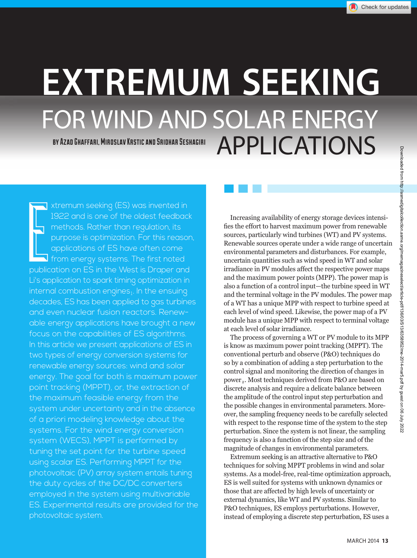# **EXTREMUM SEEKING** FOR WIND AND SOLAR ENERGY BY AZAD GHAFFARI, MIROSLAV KRSTIC AND SRIDHAR SESHAGIRI APPLICATIONS

**Exploring Limits** xtremum seeking (ES) was invented in 1922 and is one of the oldest feedback methods. Rather than regulation, its purpose is optimization. For this reason, applications of ES have often come  $\overline{\mathsf{J}}$  from energy systems. The first noted publication on ES in the West is Draper and Li's application to spark timing optimization in  $interral$  combustion engines $<sub>1</sub>$ . In the ensuing</sub> decades, ES has been applied to gas turbines and even nuclear fusion reactors. Renewable energy applications have brought a new focus on the capabilities of ES algorithms. In this article we present applications of ES in two types of energy conversion systems for renewable energy sources: wind and solar energy. The goal for both is maximum power point tracking (MPPT), or, the extraction of the maximum feasible energy from the system under uncertainty and in the absence of a priori modeling knowledge about the systems. For the wind energy conversion system (WECS), MPPT is performed by tuning the set point for the turbine speed using scalar ES. Performing MPPT for the photovoltaic (PV) array system entails tuning the duty cycles of the DC/DC converters employed in the system using multivariable ES. Experimental results are provided for the photovoltaic system. Atternatives are controlled in the controlled from the material of the controlled from https://assess... The material of the controlled from https://assess... The controlled from https://assess... The controlled from the

Increasing availability of energy storage devices intensifies the effort to harvest maximum power from renewable sources, particularly wind turbines (WT) and PV systems. Renewable sources operate under a wide range of uncertain environmental parameters and disturbances. For example, uncertain quantities such as wind speed in WT and solar irradiance in PV modules affect the respective power maps and the maximum power points (MPP). The power map is also a function of a control input—the turbine speed in WT and the terminal voltage in the PV modules. The power map of a WT has a unique MPP with respect to turbine speed at each level of wind speed. Likewise, the power map of a PV module has a unique MPP with respect to terminal voltage at each level of solar irradiance.

The process of governing a WT or PV module to its MPP is know as maximum power point tracking (MPPT). The conventional perturb and observe (P&O) techniques do so by a combination of adding a step perturbation to the control signal and monitoring the direction of changes in power 2. Most techniques derived from P&O are based on discrete analysis and require a delicate balance between the amplitude of the control input step perturbation and the possible changes in environmental parameters. Moreover, the sampling frequency needs to be carefully selected with respect to the response time of the system to the step perturbation. Since the system is not linear, the sampling frequency is also a function of the step size and of the magnitude of changes in environmental parameters.

Extremum seeking is an attractive alternative to P&O techniques for solving MPPT problems in wind and solar systems. As a model-free, real-time optimization approach, ES is well suited for systems with unknown dynamics or those that are affected by high levels of uncertainty or external dynamics, like WT and PV systems. Similar to P&O techniques, ES employs perturbations. However, instead of employing a discrete step perturbation, ES uses a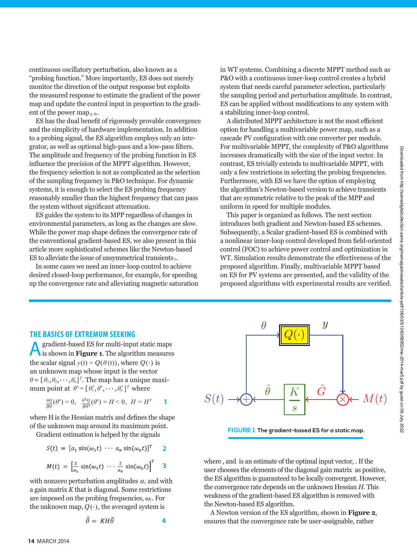continuous oscillatory perturbation, also known as a "probing function." More importantly, ES does not merely monitor the direction of the output response but exploits the measured response to estimate the gradient of the power map and update the control input in proportion to the gradient of the power map<sub>3–6</sub>.

ES has the dual benefit of rigorously provable convergence and the simplicity of hardware implementation. In addition to a probing signal, the ES algorithm employs only an integrator, as well as optional high-pass and a low-pass filters. The amplitude and frequency of the probing function in ES influence the precision of the MPPT algorithm. However, the frequency selection is not as complicated as the selection of the sampling frequency in P&O technique. For dynamic systems, it is enough to select the ES probing frequency reasonably smaller than the highest frequency that can pass the system without significant attenuation.

ES guides the system to its MPP regardless of changes in environmental parameters, as long as the changes are slow. While the power map shape defines the convergence rate of the conventional gradient-based ES, we also present in this article more sophisticated schemes like the Newton-based ES to alleviate the issue of unsymmetrical transients $<sub>7</sub>$ .</sub>

In some cases we need an inner-loop control to achieve desired closed-loop performance, for example, for speeding up the convergence rate and alleviating magnetic saturation in WT systems. Combining a discrete MPPT method such as P&O with a continuous inner-loop control creates a hybrid system that needs careful parameter selection, particularly the sampling period and perturbation amplitude. In contrast, ES can be applied without modifications to any system with a stabilizing inner-loop control.

A distributed MPPT architecture is not the most efficient option for handling a multivariable power map, such as a cascade PV configuration with one converter per module. For multivariable MPPT, the complexity of P&O algorithms increases dramatically with the size of the input vector. In contrast, ES trivially extends to multivariable MPPT, with only a few restrictions in selecting the probing frequencies. Furthermore, with ES we have the option of employing the algorithm's Newton-based version to achieve transients that are symmetric relative to the peak of the MPP and uniform in speed for multiple modules.

This paper is organized as follows. The next section introduces both gradient and Newton-based ES schemes. Subsequently, a Scalar gradient-based ES is combined with a nonlinear inner-loop control developed from field-oriented control (FOC) to achieve power control and optimization in WT. Simulation results demonstrate the effectiveness of the proposed algorithm. Finally, multivariable MPPT based on ES for PV systems are presented, and the validity of the proposed algorithms with experimental results are verified.

**THE BASICS OF EXTREMUM SEEKING**<br> **A** gradient-based ES for multi-input static maps Agradient-based ES for multi-input static maps is shown in **Figure 1**. The algorithm measures the scalar signal  $y(t) = Q(\theta(t))$ , where  $Q(\cdot)$  is an unknown map whose input is the vector  $\theta = [\theta_1, \theta_2, \cdots, \theta_n]^T$ . The map has a unique maximum point at  $\theta^* = [\theta_1^*, \theta^*, \cdots, \theta_n^*]^T$  where

$$
\frac{\partial Q}{\partial \theta}(\theta^*) = 0, \quad \frac{\partial^2 Q}{\partial \theta^2}(\theta^*) = H < 0, \ H = H^T \qquad \mathbf{1}
$$

where H is the Hessian matrix and defines the shape of the unknown map around its maximum point.

Gradient estimation is helped by the signals

$$
S(t) = [a_1 \sin(\omega_1 t) \cdots a_n \sin(\omega_n t)]^T
$$
 2

$$
M(t) = \left[\frac{2}{a_1}\sin(\omega_1 t)\cdots\frac{2}{a_n}\sin(\omega_n t)\right]^T \quad 3
$$

with nonzero perturbation amplitudes  $a_i$  and with a gain matrix *K* that is diagonal. Some restrictions are imposed on the probing frequencies,  $\omega_i$ . For the unknown map,  $Q(\cdot)$ , the averaged system is

$$
\tilde{\theta} = \ K H \tilde{\theta} \tag{4}
$$



**FIGURE 1 The gradient-based ES for a static map.**

where , and is an estimate of the optimal input vector, . If the user chooses the elements of the diagonal gain matrix as positive, the ES algorithm is guaranteed to be locally convergent. However, the convergence rate depends on the unknown Hessian *H*. This weakness of the gradient-based ES algorithm is removed with the Newton-based ES algorithm.

A Newton version of the ES algorithm, shown in **Figure 2**, ensures that the convergence rate be user-assignable, rather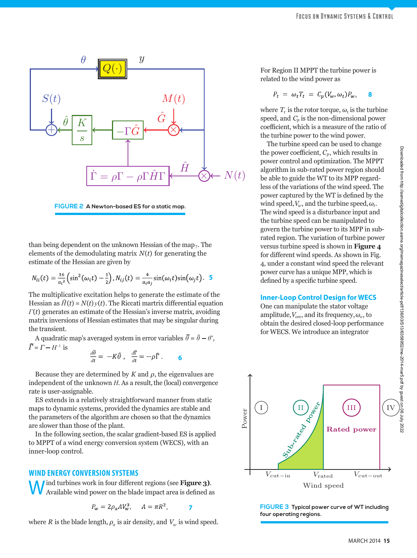

**FIGURE 2 A Newton-based ES for a static map.**

than being dependent on the unknown Hessian of the map<sub>7</sub>. The elements of the demodulating matrix *N*(*t*) for generating the estimate of the Hessian are given by

$$
N_{ii}(t) = \frac{16}{a_i^2} \left( \sin^2(\omega_i t) - \frac{1}{2} \right), N_{ij}(t) = \frac{4}{a_i a_j} \sin(\omega_i t) \sin(\omega_j t).
$$
 5

The multiplicative excitation helps to generate the estimate of the Hessian as  $\hat{H}(t) = N(t)y(t)$ . The Riccati martrix differential equation *Γ*(*t*) generates an estimate of the Hessian's inverse matrix, avoiding matrix inversions of Hessian estimates that may be singular during the transient.

A quadratic map's averaged system in error variables *θ ˷* = *θ* **^ —** *θ\** , *A* quadratic  $\tilde{\Gamma} = \Gamma - H^{-1}$  is

$$
\frac{d\tilde{\theta}}{dt} = -K\tilde{\theta} , \quad \frac{d\tilde{\mathbf{r}}}{dt} = -\rho \tilde{\mathbf{r}} . \qquad 6
$$

Because they are determined by  $K$  and  $\rho$ , the eigenvalues are independent of the unknown *H*. As a result, the (local) convergence rate is user-assignable.

ES extends in a relatively straightforward manner from static maps to dynamic systems, provided the dynamics are stable and the parameters of the algorithm are chosen so that the dynamics are slower than those of the plant.

In the following section, the scalar gradient-based ES is applied to MPPT of a wind energy conversion system (WECS), with an inner-loop control.

### **WIND ENERGY CONVERSION SYSTEMS**

Wind turbines work in four different regions (see **Figure 3)**. Available wind power on the blade impact area is defined as

$$
P_w = 2\rho_a A V_w^3, \qquad A = \pi R^2, \qquad \qquad
$$

where *R* is the blade length,  $\rho_a$  is air density, and  $V_w$  is wind speed.

For Region II MPPT the turbine power is related to the wind power as

$$
P_t = \omega_t T_t = C_p(V_w, \omega_t) P_w, \quad \mathbf{8}
$$

where  $T_t$  is the rotor torque,  $\omega_t$  is the turbine speed, and  $C_p$  is the non-dimensional power coefficient, which is a measure of the ratio of the turbine power to the wind power.

The turbine speed can be used to change the power coefficient,  $C_p$ , which results in power control and optimization. The MPPT algorithm in sub-rated power region should be able to guide the WT to its MPP regardless of the variations of the wind speed. The power captured by the WT is defined by the wind speed,  $V_w$ , and the turbine speed,  $\omega_t$ . The wind speed is a disturbance input and the turbine speed can be manipulated to govern the turbine power to its MPP in subrated region. The variation of turbine power versus turbine speed is shown in **Figure 4** for different wind speeds. As shown in Fig. 4, under a constant wind speed the relevant power curve has a unique MPP, which is defined by a specific turbine speed.

#### **Inner-Loop Control Design for WECS**

One can manipulate the stator voltage amplitude,*Vom*, and its frequency,*ωo*, to obtain the desired closed-loop performance for WECS. We introduce an integrator



**FIGURE 3 Typical power curve of WT including four operating regions.**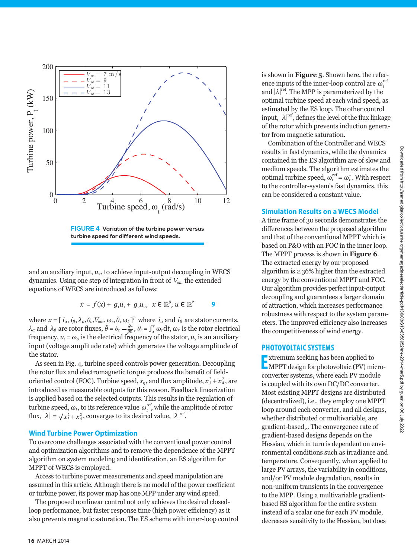

and an auxiliary input,  $u_2$ , to achieve input-output decoupling in WECS dynamics. Using one step of integration in front of *Vom* the extended equations of WECS are introduced as follows:

$$
\dot{x} = f(x) + g_1 u_1 + g_2 u_2, \quad x \in \mathbb{R}^9, u \in \mathbb{R}^2
$$

where  $x = [i_a, i_\beta, \lambda_a, \theta_o, V_{om}, \omega_r, \tilde{\theta}]$  $[\omega_r, \tilde{\theta}, \omega_t]^T$  where  $i_a$  and  $i_\beta$  are stator currents, *λ<sub>α</sub>* and *λ<sub>β</sub>* are rotor fluxes,  $\tilde{\theta} = \theta_t - \frac{\theta_r}{pn}$ ,  $\theta_r = \int_0^t \omega_r dt$ ,  $\omega_r$  is the rotor electrical frequency,  $u_1 = \omega_0$  is the electrical frequency of the stator,  $u_2$  is an auxiliary input (voltage amplitude rate) which generates the voltage amplitude of the stator.

As seen in Fig. 4, turbine speed controls power generation. Decoupling the rotor flux and electromagnetic torque produces the benefit of fieldoriented control (FOC). Turbine speed,  $x_9$ , and flux amplitude,  $x_3^2 + x_4^2$ , are introduced as measurable outputs for this reason. Feedback linearization is applied based on the selected outputs. This results in the regulation of turbine speed,  $\omega_t$ , to its reference value  $\omega_t^{\text{ref}}$ , while the amplitude of rotor flux,  $|\lambda| = \sqrt{x_3^2 + x_4^2}$ , converges to its desired value,  $|\lambda|^{ref}$ .

#### **Wind Turbine Power Optimization**

To overcome challenges associated with the conventional power control and optimization algorithms and to remove the dependence of the MPPT algorithm on system modeling and identification, an ES algorithm for MPPT of WECS is employed.

Access to turbine power measurements and speed manipulation are assumed in this article. Although there is no model of the power coefficient or turbine power, its power map has one MPP under any wind speed.

The proposed nonlinear control not only achieves the desired closedloop performance, but faster response time (high power efficiency) as it also prevents magnetic saturation. The ES scheme with inner-loop control is shown in **Figure 5**. Shown here, the reference inputs of the inner-loop control are  $\omega_t^{\text{ref}}$ and  $|\lambda|^{ref}$ . The MPP is parameterized by the optimal turbine speed at each wind speed, as estimated by the ES loop. The other control input,  $|\lambda|^\text{ref}$ , defines the level of the flux linkage of the rotor which prevents induction generator from magnetic saturation.

Combination of the Controller and WECS results in fast dynamics, while the dynamics contained in the ES algorithm are of slow and medium speeds. The algorithm estimates the optimal turbine speed,  $\omega_t^{\text{ref}} = \omega_t^*$ . With respect to the controller-system's fast dynamics, this can be considered a constant value.

#### **Simulation Results on a WECS Model**

A time frame of 30 seconds demonstrates the differences between the proposed algorithm and that of the conventional MPPT which is based on P&O with an FOC in the inner loop. The MPPT process is shown in **Figure 6**. The extracted energy by our proposed algorithm is 2.36% higher than the extracted energy by the conventional MPPT and FOC. Our algorithm provides perfect input-output decoupling and guarantees a larger domain of attraction, which increases performance robustness with respect to the system parameters. The improved efficiency also increases the competitiveness of wind energy.

### **PHOTOVOLTAIC SYSTEMS**

**Extremum seeking has been applied to<br>
<b>EXECUTE:** MPPT design for photovoltaic (PV) microxtremum seeking has been applied to converter systems, where each PV module is coupled with its own DC/DC converter. Most existing MPPT designs are distributed (decentralized), i.e., they employ one MPPT loop around each converter, and all designs, whether distributed or multivariable, are  $gradient-based<sub>2</sub>$ . The convergence rate of gradient-based designs depends on the Hessian, which in turn is dependent on environmental conditions such as irradiance and temperature. Consequently, when applied to large PV arrays, the variability in conditions, and/or PV module degradation, results in non-uniform transients in the convergence to the MPP. Using a multivariable gradientbased ES algorithm for the entire system instead of a scalar one for each PV module, decreases sensitivity to the Hessian, but does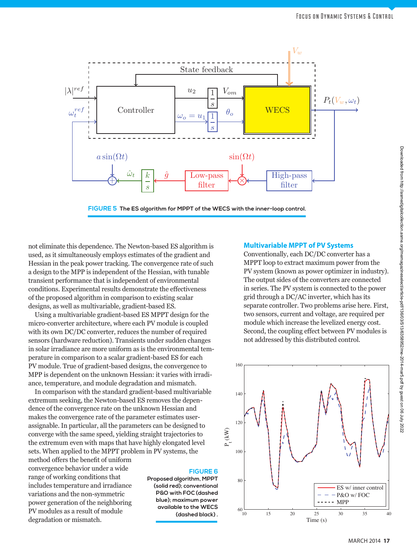

not eliminate this dependence. The Newton-based ES algorithm is used, as it simultaneously employs estimates of the gradient and Hessian in the peak power tracking. The convergence rate of such a design to the MPP is independent of the Hessian, with tunable transient performance that is independent of environmental conditions. Experimental results demonstrate the effectiveness of the proposed algorithm in comparison to existing scalar designs, as well as multivariable, gradient-based ES.

Using a multivariable gradient-based ES MPPT design for the micro-converter architecture, where each PV module is coupled with its own DC/DC converter, reduces the number of required sensors (hardware reduction). Transients under sudden changes in solar irradiance are more uniform as is the environmental temperature in comparison to a scalar gradient-based ES for each PV module. True of gradient-based designs, the convergence to MPP is dependent on the unknown Hessian: it varies with irradiance, temperature, and module degradation and mismatch.

In comparison with the standard gradient-based multivariable extremum seeking, the Newton-based ES removes the dependence of the convergence rate on the unknown Hessian and makes the convergence rate of the parameter estimates userassignable. In particular, all the parameters can be designed to converge with the same speed, yielding straight trajectories to the extremum even with maps that have highly elongated level sets. When applied to the MPPT problem in PV systems, the

method offers the benefit of uniform convergence behavior under a wide range of working conditions that includes temperature and irradiance variations and the non-symmetric power generation of the neighboring PV modules as a result of module degradation or mismatch.

# **FIGURE 6**

**Proposed algorithm, MPPT (solid red); conventional P&O with FOC (dashed blue); maximum power available to the WECS (dashed black) .**

1

#### **Multivariable MPPT of PV Systems**

Conventionally, each DC/DC converter has a MPPT loop to extract maximum power from the PV system (known as power optimizer in industry). The output sides of the converters are connected in series. The PV system is connected to the power grid through a DC/AC inverter, which has its separate controller. Two problems arise here. First, two sensors, current and voltage, are required per module which increase the levelized energy cost. Second, the coupling effect between PV modules is not addressed by this distributed control.

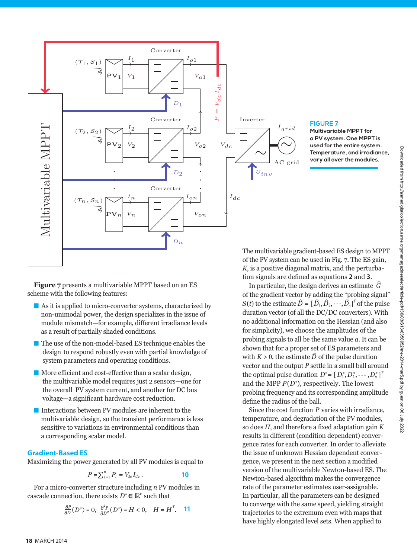

#### **FIGURE 7**

**Multivariable MPPT for a PV system. One MPPT is used for the entire system. Temperature, and irradiance, vary all over the modules.**

**Figure 7** presents a multivariable MPPT based on an ES scheme with the following features:

- $\blacksquare$  As it is applied to micro-converter systems, characterized by non-unimodal power, the design specializes in the issue of module mismatch—for example, different irradiance levels as a result of partially shaded conditions.
- $\blacksquare$  The use of the non-model-based ES technique enables the design to respond robustly even with partial knowledge of system parameters and operating conditions.
- More efficient and cost-effective than a scalar design, the multivariable model requires just 2 sensors—one for the overall PV system current, and another for DC bus voltage—a significant hardware cost reduction.
- $\blacksquare$  Interactions between PV modules are inherent to the multivariable design, so the transient performance is less sensitive to variations in environmental conditions than a corresponding scalar model.

#### **Gradient-Based ES**

Maximizing the power generated by all PV modules is equal to

$$
P = \sum_{i=1}^{n} P_i = V_{dc} I_{dc} .
$$

For a micro-converter structure including *n* PV modules in cascade connection, there exists  $D^* \in \mathbb{R}^n$  such that

$$
\frac{\partial P}{\partial D}(D^*) = 0, \ \frac{\partial^2 P}{\partial D^2}(D^*) = H < 0, \quad H = H^T. \quad \textbf{11}
$$

The multivariable gradient-based ES design to MPPT of the PV system can be used in Fig. 7. The ES gain, *K*, is a positive diagonal matrix, and the perturbation signals are defined as equations **2** and **3**. In particular, the design derives an estimate  $\widehat{G}$ <br>In particular, the design derives an estimate  $\widehat{G}$ 

of the gradient vector by adding the "probing signal" *S*(*t*) to the estimate  $\hat{D} = [\hat{D}_1, \hat{D}_2, \dots, \hat{D}_n]^T$  of the pulse duration vector (of all the DC/DC converters). With no additional information on the Hessian (and also for simplicity), we choose the amplitudes of the probing signals to all be the same value *a*. It can be shown that for a proper set of ES parameters and shown that for a proper set of ES parameters and<br>with  $K > 0$ , the estimate  $\hat{D}$  of the pulse duration vector and the output *P* settle in a small ball around the optimal pulse duration  $D^* = [D_1^*, D_2^*, \cdots, D_n^*]^T$ and the MPP *P*(*D\**), respectively. The lowest probing frequency and its corresponding amplitude define the radius of the ball.

Since the cost function *P* varies with irradiance, temperature, and degradation of the PV modules, so does *H*, and therefore a fixed adaptation gain *K*  results in different (condition dependent) convergence rates for each converter. In order to alleviate the issue of unknown Hessian dependent convergence, we present in the next section a modified version of the multivariable Newton-based ES. The Newton-based algorithm makes the convergence rate of the parameter estimates user-assignable. In particular, all the parameters can be designed to converge with the same speed, yielding straight trajectories to the extremum even with maps that have highly elongated level sets. When applied to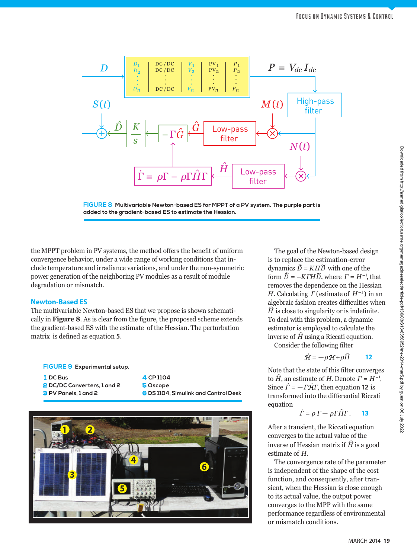



the MPPT problem in PV systems, the method offers the benefit of uniform convergence behavior, under a wide range of working conditions that include temperature and irradiance variations, and under the non-symmetric power generation of the neighboring PV modules as a result of module degradation or mismatch.

#### **Newton-Based ES**

The multivariable Newton-based ES that we propose is shown schematically in **Figure 8**. As is clear from the figure, the proposed scheme extends the gradient-based ES with the estimate of the Hessian. The perturbation matrix is defined as equation **5**.

#### **FIGURE 9 Experimental setup.**

| <b>I</b> DC Bus             | 4 CP 1104                            |
|-----------------------------|--------------------------------------|
| 2 DC/DC Converters, 1 and 2 | 5 Oscope                             |
| 3 PV Panels, 1 and 2        | 6 DS 1104. Simulink and Control Desk |
|                             |                                      |



The goal of the Newton-based design *is* to replace the estimation-error dynamics  $\vec{D} = KH\vec{D}$  with one of the form  $\tilde{D} = -K \Gamma H \tilde{D}$ , where  $\Gamma = H^{-1}$ , that removes the dependence on the Hessian *H*. Calculating *Γ* (estimate of *H*–1 ) in an algebraic fashion creates difficulties when  $\hat{H}$  is close to singularity or is indefinite *H* is close to singularity or is indefinite. To deal with this problem, a dynamic estimator is employed to calculate the<br>inverse of  $\hat{H}$  using a Riccati equation inverse of *H* using a Riccati equation.

 $\mathcal{C}$ onsider the following filter<br> $\dot{\mathcal{H}} = -\rho \mathcal{H} + \rho \hat{H}$ 

$$
\dot{\mathcal{H}} = -\rho \mathcal{H} + \rho \hat{H}
$$
 12

Note that the state of this filter converges<br>to  $\hat{H}$  an estimate of H. Denote  $\Gamma = H^{-1}$ to  $\hat{H}$ , an estimate of *H*. Denote  $\Gamma = H^{-1}$ . Since  $\dot{\Gamma} = -\Gamma \dot{\mathcal{H}} \Gamma$ , then equation **12** is transformed into the differential Riccati equation<br> $\dot{\Gamma} = \rho \Gamma - \rho \Gamma \hat{H}$ 

$$
\dot{\vec{\Gamma}} = \rho \,\vec{\Gamma} - \rho \vec{\Gamma} \hat{H} \vec{\Gamma}.
$$
 13

After a transient, the Riccati equation converges to the actual value of the inverse of Hessian matrix if  $\hat{H}$  is a g inverse of Hessian matrix if *H* is a good estimate of *H*.

The convergence rate of the parameter is independent of the shape of the cost function, and consequently, after transient, when the Hessian is close enough to its actual value, the output power converges to the MPP with the same performance regardless of environmental or mismatch conditions.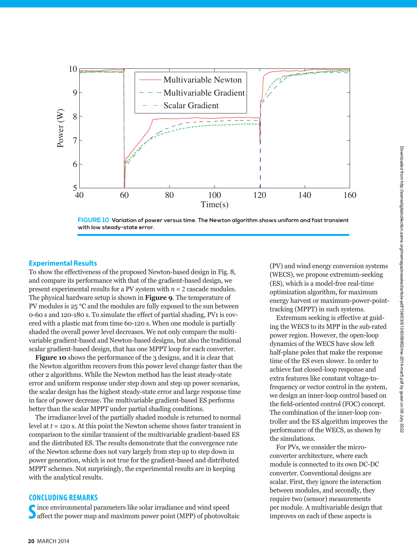



#### **Experimental Results**

To show the effectiveness of the proposed Newton-based design in Fig. 8, and compare its performance with that of the gradient-based design, we present experimental results for a PV system with *n* = 2 cascade modules. The physical hardware setup is shown in **Figure 9**. The temperature of PV modules is 25 °C and the modules are fully exposed to the sun between 0-60 s and 120-180 s. To simulate the effect of partial shading, PV1 is covered with a plastic mat from time 60-120 s. When one module is partially shaded the overall power level decreases. We not only compare the multivariable gradient-based and Newton-based designs, but also the traditional scalar gradient-based design, that has one MPPT loop for each converter.

**Figure 10** shows the performance of the 3 designs, and it is clear that the Newton algorithm recovers from this power level change faster than the other 2 algorithms. While the Newton method has the least steady-state error and uniform response under step down and step up power scenarios, the scalar design has the highest steady-state error and large response time in face of power decrease. The multivariable gradient-based ES performs better than the scalar MPPT under partial shading conditions.

The irradiance level of the partially shaded module is returned to normal level at *t* = 120 s. At this point the Newton scheme shows faster transient in comparison to the similar transient of the multivariable gradient-based ES and the distributed ES. The results demonstrate that the convergence rate of the Newton scheme does not vary largely from step up to step down in power generation, which is not true for the gradient-based and distributed MPPT schemes. Not surprisingly, the experimental results are in keeping with the analytical results.

#### **CONCLUDING REMARKS**

S ince environmental parameters like solar irradiance and wind speed<br>Saffect the power map and maximum power point (MPP) of photovoltaic ince environmental parameters like solar irradiance and wind speed

(PV) and wind energy conversion systems (WECS), we propose extremum-seeking (ES), which is a model-free real-time optimization algorithm, for maximum energy harvest or maximum-power-pointtracking (MPPT) in such systems.

Extremum seeking is effective at guiding the WECS to its MPP in the sub-rated power region. However, the open-loop dynamics of the WECS have slow left half-plane poles that make the response time of the ES even slower. In order to achieve fast closed-loop response and extra features like constant voltage-tofrequency or vector control in the system, we design an inner-loop control based on the field-oriented control (FOC) concept. The combination of the inner-loop controller and the ES algorithm improves the performance of the WECS, as shown by the simulations.

For PVs, we consider the microconverter architecture, where each module is connected to its own DC-DC converter. Conventional designs are scalar. First, they ignore the interaction between modules, and secondly, they require two (sensor) measurements per module. A multivariable design that improves on each of these aspects is